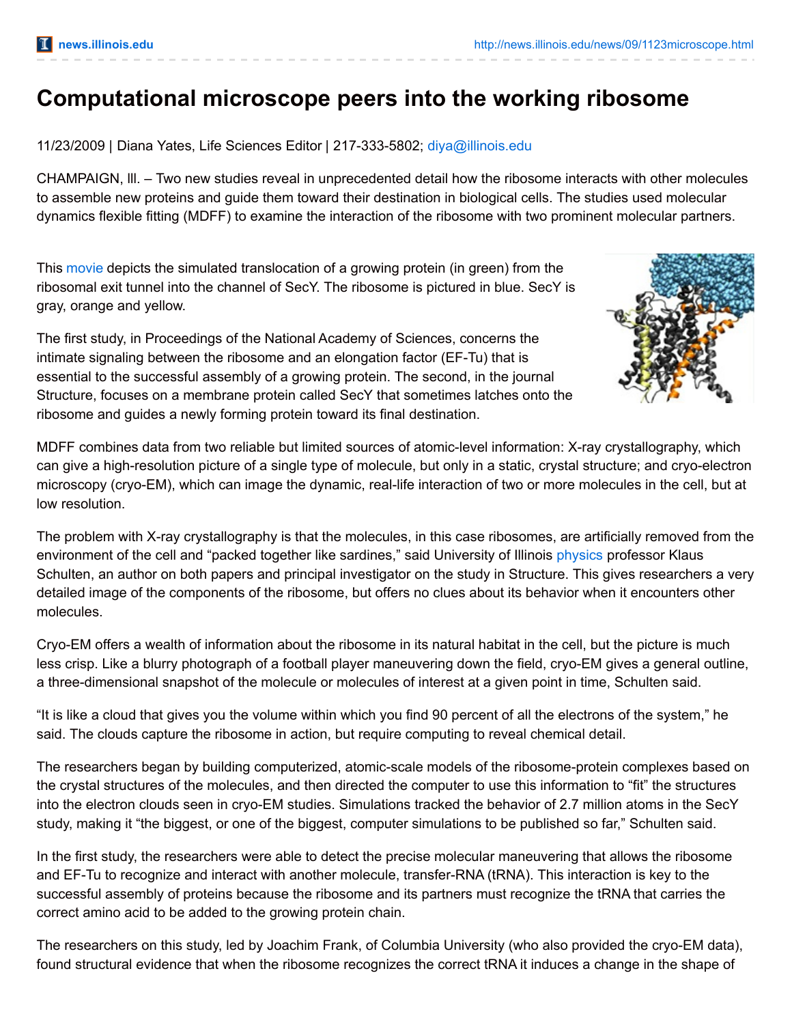## **Computational microscope peers into the working ribosome**

11/23/2009 | Diana Yates, Life Sciences Editor | 217-333-5802; [diya@illinois.edu](mailto:diya@illinois.edu)

CHAMPAIGN, lll. – Two new studies reveal in unprecedented detail how the ribosome interacts with other molecules to assemble new proteins and guide them toward their destination in biological cells. The studies used molecular dynamics flexible fitting (MDFF) to examine the interaction of the ribosome with two prominent molecular partners.

This [movie](http://news.illinois.edu/WebsandThumbs/Schulten,Klaus/Schulten-protein-translocation.mpg) depicts the simulated translocation of a growing protein (in green) from the ribosomal exit tunnel into the channel of SecY. The ribosome is pictured in blue. SecY is gray, orange and yellow.

The first study, in Proceedings of the National Academy of Sciences, concerns the intimate signaling between the ribosome and an elongation factor (EF-Tu) that is essential to the successful assembly of a growing protein. The second, in the journal Structure, focuses on a membrane protein called SecY that sometimes latches onto the ribosome and guides a newly forming protein toward its final destination.



MDFF combines data from two reliable but limited sources of atomic-level information: X-ray crystallography, which can give a high-resolution picture of a single type of molecule, but only in a static, crystal structure; and cryo-electron microscopy (cryo-EM), which can image the dynamic, real-life interaction of two or more molecules in the cell, but at low resolution.

The problem with X-ray crystallography is that the molecules, in this case ribosomes, are artificially removed from the environment of the cell and "packed together like sardines," said University of Illinois [physics](http://www.physics.illinois.edu/) professor Klaus Schulten, an author on both papers and principal investigator on the study in Structure. This gives researchers a very detailed image of the components of the ribosome, but offers no clues about its behavior when it encounters other molecules.

Cryo-EM offers a wealth of information about the ribosome in its natural habitat in the cell, but the picture is much less crisp. Like a blurry photograph of a football player maneuvering down the field, cryo-EM gives a general outline, a three-dimensional snapshot of the molecule or molecules of interest at a given point in time, Schulten said.

"It is like a cloud that gives you the volume within which you find 90 percent of all the electrons of the system," he said. The clouds capture the ribosome in action, but require computing to reveal chemical detail.

The researchers began by building computerized, atomic-scale models of the ribosome-protein complexes based on the crystal structures of the molecules, and then directed the computer to use this information to "fit" the structures into the electron clouds seen in cryo-EM studies. Simulations tracked the behavior of 2.7 million atoms in the SecY study, making it "the biggest, or one of the biggest, computer simulations to be published so far," Schulten said.

In the first study, the researchers were able to detect the precise molecular maneuvering that allows the ribosome and EF-Tu to recognize and interact with another molecule, transfer-RNA (tRNA). This interaction is key to the successful assembly of proteins because the ribosome and its partners must recognize the tRNA that carries the correct amino acid to be added to the growing protein chain.

The researchers on this study, led by Joachim Frank, of Columbia University (who also provided the cryo-EM data), found structural evidence that when the ribosome recognizes the correct tRNA it induces a change in the shape of